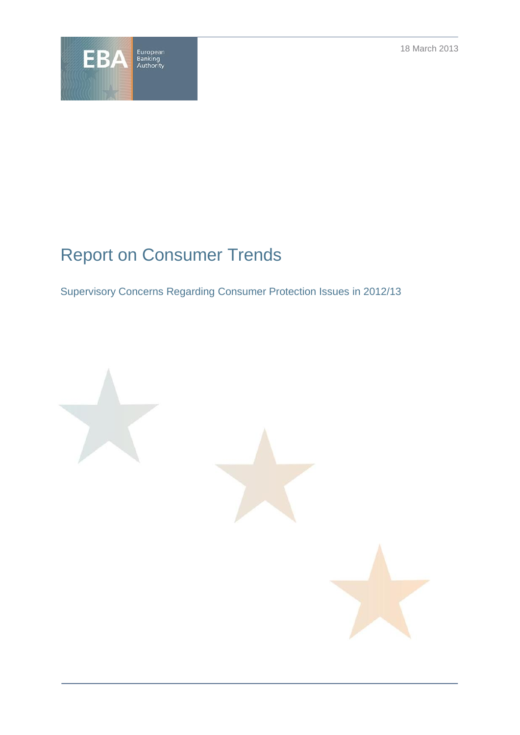18 March 2013



# Report on Consumer Trends

Supervisory Concerns Regarding Consumer Protection Issues in 2012/13

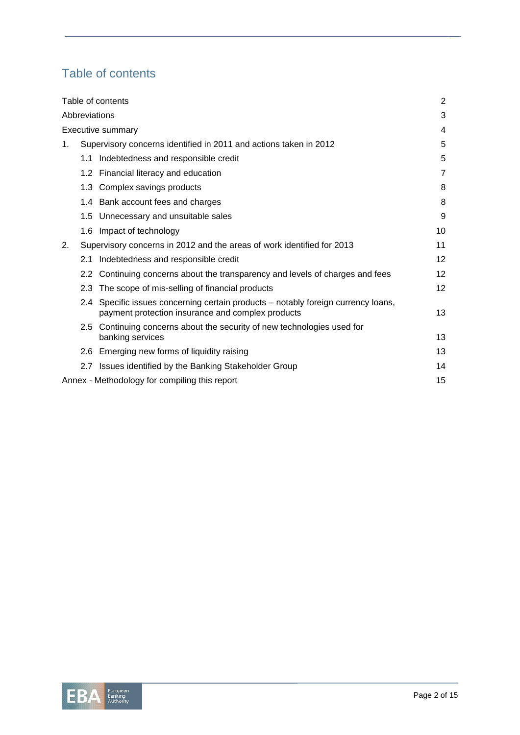## Table of contents

| Table of contents                             |                                                                        |                                                                                                                                    | 2                 |
|-----------------------------------------------|------------------------------------------------------------------------|------------------------------------------------------------------------------------------------------------------------------------|-------------------|
| Abbreviations                                 |                                                                        |                                                                                                                                    | 3                 |
| Executive summary                             |                                                                        |                                                                                                                                    | 4                 |
| 1.                                            | Supervisory concerns identified in 2011 and actions taken in 2012      |                                                                                                                                    | 5                 |
|                                               | 1.1                                                                    | Indebtedness and responsible credit                                                                                                | 5                 |
|                                               |                                                                        | 1.2 Financial literacy and education                                                                                               | $\overline{7}$    |
|                                               | 1.3                                                                    | Complex savings products                                                                                                           | 8                 |
|                                               |                                                                        | 1.4 Bank account fees and charges                                                                                                  | 8                 |
|                                               |                                                                        | 1.5 Unnecessary and unsuitable sales                                                                                               | 9                 |
|                                               | 1.6                                                                    | Impact of technology                                                                                                               | 10                |
| 2.                                            | Supervisory concerns in 2012 and the areas of work identified for 2013 |                                                                                                                                    |                   |
|                                               | 2.1                                                                    | Indebtedness and responsible credit                                                                                                | 12                |
|                                               |                                                                        | 2.2 Continuing concerns about the transparency and levels of charges and fees                                                      | 12 <sup>2</sup>   |
|                                               | 2.3 <sup>2</sup>                                                       | The scope of mis-selling of financial products                                                                                     | $12 \overline{ }$ |
|                                               | 2.4                                                                    | Specific issues concerning certain products – notably foreign currency loans,<br>payment protection insurance and complex products | 13                |
|                                               | $2.5^{\circ}$                                                          | Continuing concerns about the security of new technologies used for<br>banking services                                            | 13                |
|                                               |                                                                        | 2.6 Emerging new forms of liquidity raising                                                                                        | 13                |
|                                               |                                                                        | 2.7 Issues identified by the Banking Stakeholder Group                                                                             | 14                |
| Annex - Methodology for compiling this report |                                                                        |                                                                                                                                    | 15                |

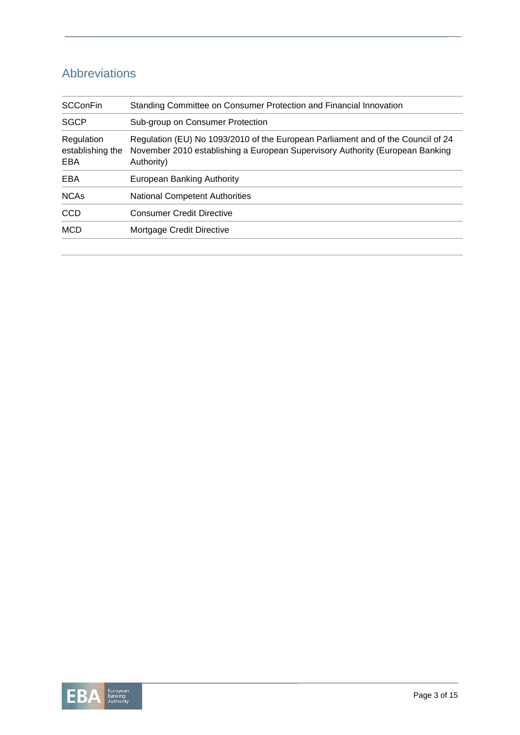## Abbreviations

| <b>SCConFin</b>                       | Standing Committee on Consumer Protection and Financial Innovation                                                                                                              |
|---------------------------------------|---------------------------------------------------------------------------------------------------------------------------------------------------------------------------------|
| <b>SGCP</b>                           | Sub-group on Consumer Protection                                                                                                                                                |
| Regulation<br>establishing the<br>EBA | Regulation (EU) No 1093/2010 of the European Parliament and of the Council of 24<br>November 2010 establishing a European Supervisory Authority (European Banking<br>Authority) |
| EBA                                   | European Banking Authority                                                                                                                                                      |
| <b>NCAs</b>                           | <b>National Competent Authorities</b>                                                                                                                                           |
| <b>CCD</b>                            | <b>Consumer Credit Directive</b>                                                                                                                                                |
| <b>MCD</b>                            | Mortgage Credit Directive                                                                                                                                                       |

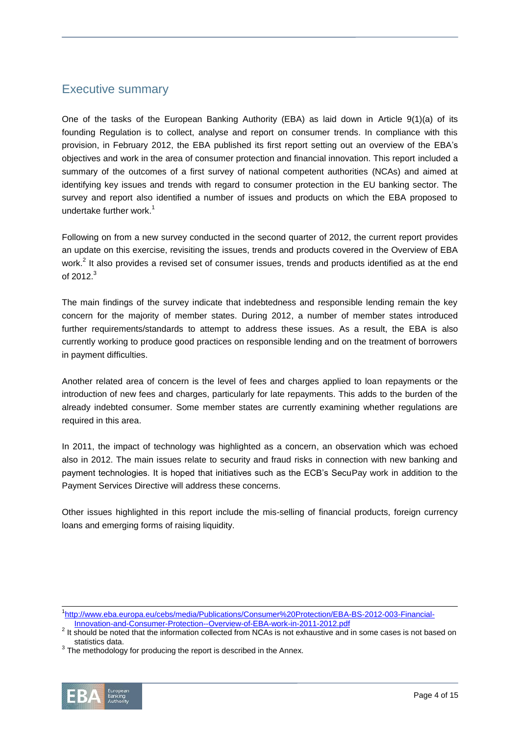### Executive summary

One of the tasks of the European Banking Authority (EBA) as laid down in Article 9(1)(a) of its founding Regulation is to collect, analyse and report on consumer trends. In compliance with this provision, in February 2012, the EBA published its first report setting out an overview of the EBA's objectives and work in the area of consumer protection and financial innovation. This report included a summary of the outcomes of a first survey of national competent authorities (NCAs) and aimed at identifying key issues and trends with regard to consumer protection in the EU banking sector. The survey and report also identified a number of issues and products on which the EBA proposed to undertake further work. $<sup>1</sup>$ </sup>

Following on from a new survey conducted in the second quarter of 2012, the current report provides an update on this exercise, revisiting the issues, trends and products covered in the Overview of EBA work.<sup>2</sup> It also provides a revised set of consumer issues, trends and products identified as at the end of 2012. $^3$ 

The main findings of the survey indicate that indebtedness and responsible lending remain the key concern for the majority of member states. During 2012, a number of member states introduced further requirements/standards to attempt to address these issues. As a result, the EBA is also currently working to produce good practices on responsible lending and on the treatment of borrowers in payment difficulties.

Another related area of concern is the level of fees and charges applied to loan repayments or the introduction of new fees and charges, particularly for late repayments. This adds to the burden of the already indebted consumer. Some member states are currently examining whether regulations are required in this area.

In 2011, the impact of technology was highlighted as a concern, an observation which was echoed also in 2012. The main issues relate to security and fraud risks in connection with new banking and payment technologies. It is hoped that initiatives such as the ECB's SecuPay work in addition to the Payment Services Directive will address these concerns.

Other issues highlighted in this report include the mis-selling of financial products, foreign currency loans and emerging forms of raising liquidity.

 $3$  The methodology for producing the report is described in the Annex.



 $\overline{a}$ <sup>1</sup>[http://www.eba.europa.eu/cebs/media/Publications/Consumer%20Protection/EBA-BS-2012-003-Financial-](http://www.eba.europa.eu/cebs/media/Publications/Consumer%20Protection/EBA-BS-2012-003-Financial-Innovation-and-Consumer-Protection--Overview-of-EBA-work-in-2011-2012.pdf)[Innovation-and-Consumer-Protection--Overview-of-EBA-work-in-2011-2012.pdf](http://www.eba.europa.eu/cebs/media/Publications/Consumer%20Protection/EBA-BS-2012-003-Financial-Innovation-and-Consumer-Protection--Overview-of-EBA-work-in-2011-2012.pdf)

 $2$  It should be noted that the information collected from NCAs is not exhaustive and in some cases is not based on statistics data.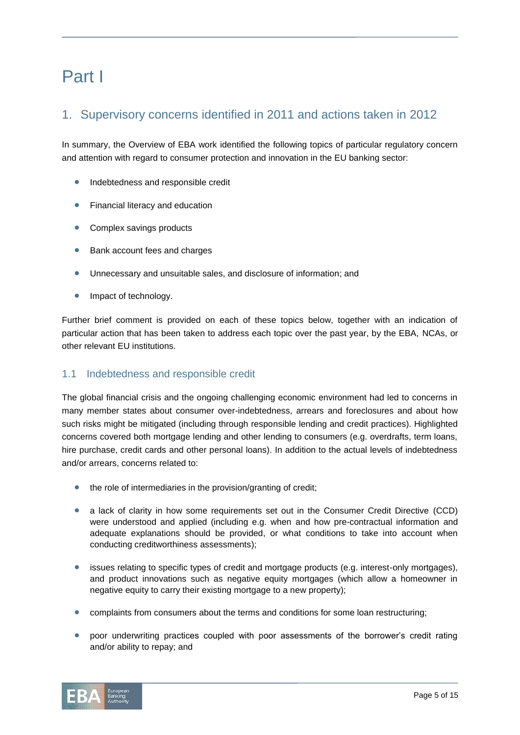## Part I

## 1. Supervisory concerns identified in 2011 and actions taken in 2012

In summary, the Overview of EBA work identified the following topics of particular regulatory concern and attention with regard to consumer protection and innovation in the EU banking sector:

- Indebtedness and responsible credit
- **•** Financial literacy and education
- Complex savings products
- **Bank account fees and charges**
- Unnecessary and unsuitable sales, and disclosure of information; and
- Impact of technology.

Further brief comment is provided on each of these topics below, together with an indication of particular action that has been taken to address each topic over the past year, by the EBA, NCAs, or other relevant EU institutions.

### 1.1 Indebtedness and responsible credit

The global financial crisis and the ongoing challenging economic environment had led to concerns in many member states about consumer over-indebtedness, arrears and foreclosures and about how such risks might be mitigated (including through responsible lending and credit practices). Highlighted concerns covered both mortgage lending and other lending to consumers (e.g. overdrafts, term loans, hire purchase, credit cards and other personal loans). In addition to the actual levels of indebtedness and/or arrears, concerns related to:

- the role of intermediaries in the provision/granting of credit;
- a lack of clarity in how some requirements set out in the Consumer Credit Directive (CCD) were understood and applied (including e.g. when and how pre-contractual information and adequate explanations should be provided, or what conditions to take into account when conducting creditworthiness assessments);
- issues relating to specific types of credit and mortgage products (e.g. interest-only mortgages), and product innovations such as negative equity mortgages (which allow a homeowner in negative equity to carry their existing mortgage to a new property);
- complaints from consumers about the terms and conditions for some loan restructuring;
- poor underwriting practices coupled with poor assessments of the borrower's credit rating and/or ability to repay; and

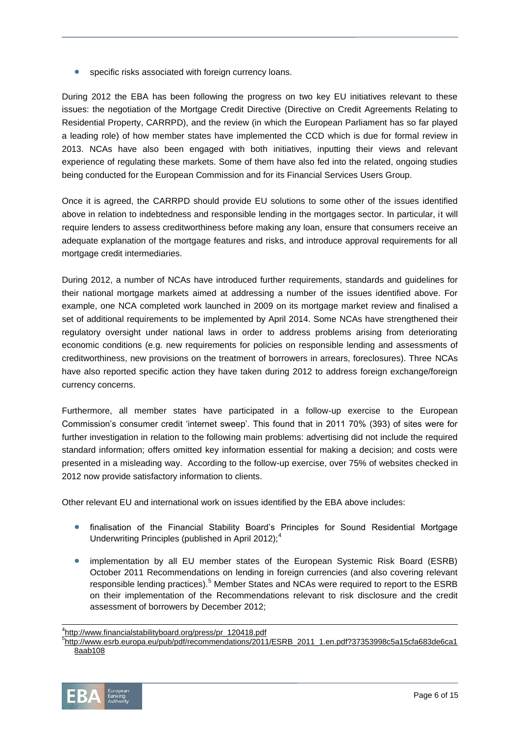specific risks associated with foreign currency loans.

During 2012 the EBA has been following the progress on two key EU initiatives relevant to these issues: the negotiation of the Mortgage Credit Directive (Directive on Credit Agreements Relating to Residential Property, CARRPD), and the review (in which the European Parliament has so far played a leading role) of how member states have implemented the CCD which is due for formal review in 2013. NCAs have also been engaged with both initiatives, inputting their views and relevant experience of regulating these markets. Some of them have also fed into the related, ongoing studies being conducted for the European Commission and for its Financial Services Users Group.

Once it is agreed, the CARRPD should provide EU solutions to some other of the issues identified above in relation to indebtedness and responsible lending in the mortgages sector. In particular, it will require lenders to assess creditworthiness before making any loan, ensure that consumers receive an adequate explanation of the mortgage features and risks, and introduce approval requirements for all mortgage credit intermediaries.

During 2012, a number of NCAs have introduced further requirements, standards and guidelines for their national mortgage markets aimed at addressing a number of the issues identified above. For example, one NCA completed work launched in 2009 on its mortgage market review and finalised a set of additional requirements to be implemented by April 2014. Some NCAs have strengthened their regulatory oversight under national laws in order to address problems arising from deteriorating economic conditions (e.g. new requirements for policies on responsible lending and assessments of creditworthiness, new provisions on the treatment of borrowers in arrears, foreclosures). Three NCAs have also reported specific action they have taken during 2012 to address foreign exchange/foreign currency concerns.

Furthermore, all member states have participated in a follow-up exercise to the European Commission's consumer credit 'internet sweep'. This found that in 2011 70% (393) of sites were for further investigation in relation to the following main problems: advertising did not include the required standard information; offers omitted key information essential for making a decision; and costs were presented in a misleading way. According to the follow-up exercise, over 75% of websites checked in 2012 now provide satisfactory information to clients.

Other relevant EU and international work on issues identified by the EBA above includes:

- finalisation of the Financial Stability Board's Principles for Sound Residential Mortgage Underwriting Principles (published in April 2012);<sup>4</sup>
- implementation by all EU member states of the European Systemic Risk Board (ESRB) October 2011 Recommendations on lending in foreign currencies (and also covering relevant responsible lending practices).<sup>5</sup> Member States and NCAs were required to report to the ESRB on their implementation of the Recommendations relevant to risk disclosure and the credit assessment of borrowers by December 2012;

<sup>5</sup> http://www.esrb.europa.eu/pub/pdf/recommendations/2011/ESRB\_2011\_1.en.pdf?37353998c5a15cfa683de6ca1 8aab108



l

<sup>4</sup> http://www.financialstabilityboard.org/press/pr\_120418.pdf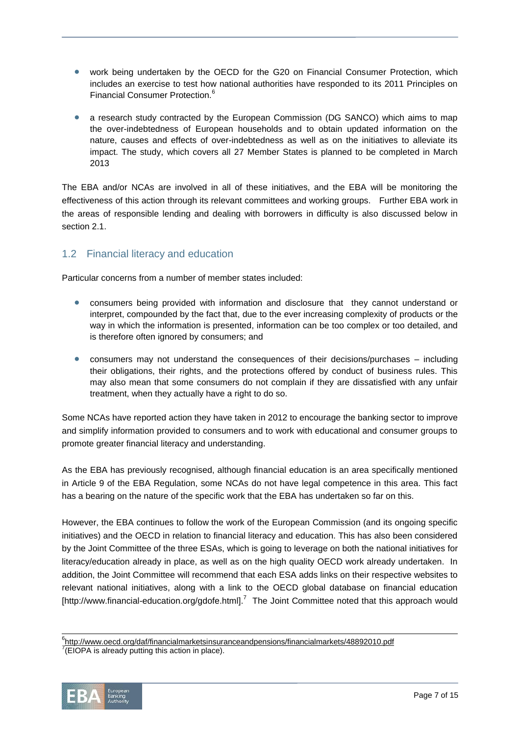- work being undertaken by the OECD for the G20 on Financial Consumer Protection, which includes an exercise to test how national authorities have responded to its 2011 Principles on Financial Consumer Protection.<sup>6</sup>
- a research study contracted by the European Commission (DG SANCO) which aims to map the over-indebtedness of European households and to obtain updated information on the nature, causes and effects of over-indebtedness as well as on the initiatives to alleviate its impact. The study, which covers all 27 Member States is planned to be completed in March 2013

The EBA and/or NCAs are involved in all of these initiatives, and the EBA will be monitoring the effectiveness of this action through its relevant committees and working groups. Further EBA work in the areas of responsible lending and dealing with borrowers in difficulty is also discussed below in section 2.1

### 1.2 Financial literacy and education

Particular concerns from a number of member states included:

- consumers being provided with information and disclosure that they cannot understand or interpret, compounded by the fact that, due to the ever increasing complexity of products or the way in which the information is presented, information can be too complex or too detailed, and is therefore often ignored by consumers; and
- consumers may not understand the consequences of their decisions/purchases including their obligations, their rights, and the protections offered by conduct of business rules. This may also mean that some consumers do not complain if they are dissatisfied with any unfair treatment, when they actually have a right to do so.

Some NCAs have reported action they have taken in 2012 to encourage the banking sector to improve and simplify information provided to consumers and to work with educational and consumer groups to promote greater financial literacy and understanding.

As the EBA has previously recognised, although financial education is an area specifically mentioned in Article 9 of the EBA Regulation, some NCAs do not have legal competence in this area. This fact has a bearing on the nature of the specific work that the EBA has undertaken so far on this.

However, the EBA continues to follow the work of the European Commission (and its ongoing specific initiatives) and the OECD in relation to financial literacy and education. This has also been considered by the Joint Committee of the three ESAs, which is going to leverage on both the national initiatives for literacy/education already in place, as well as on the high quality OECD work already undertaken. In addition, the Joint Committee will recommend that each ESA adds links on their respective websites to relevant national initiatives, along with a link to the OECD global database on financial education [http://www.financial-education.org/gdofe.html].<sup>7</sup> The Joint Committee noted that this approach would

 $7$ (EIOPA is already putting this action in place).



l <sup>6</sup>http://www.oecd.org/daf/financialmarketsinsuranceandpensions/financialmarkets/48892010.pdf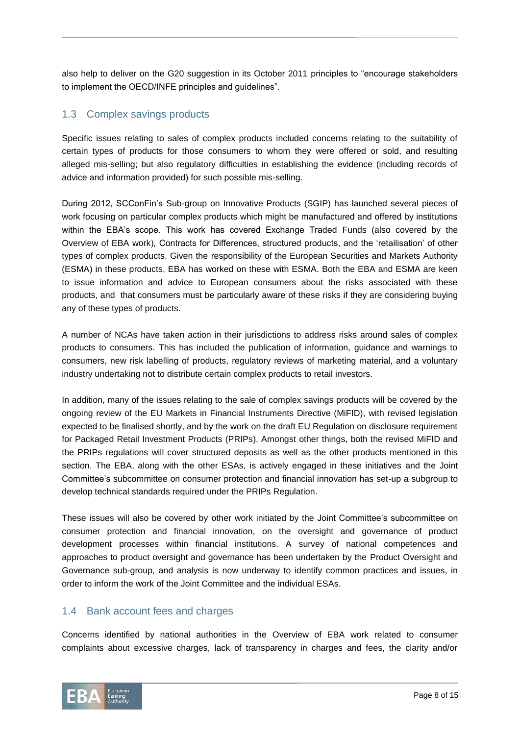also help to deliver on the G20 suggestion in its October 2011 principles to "encourage stakeholders" to implement the OECD/INFE principles and guidelines".

### 1.3 Complex savings products

Specific issues relating to sales of complex products included concerns relating to the suitability of certain types of products for those consumers to whom they were offered or sold, and resulting alleged mis-selling; but also regulatory difficulties in establishing the evidence (including records of advice and information provided) for such possible mis-selling.

During 2012, SCConFin's Sub-group on Innovative Products (SGIP) has launched several pieces of work focusing on particular complex products which might be manufactured and offered by institutions within the EBA's scope. This work has covered Exchange Traded Funds (also covered by the Overview of EBA work), Contracts for Differences, structured products, and the 'retailisation' of other types of complex products. Given the responsibility of the European Securities and Markets Authority (ESMA) in these products, EBA has worked on these with ESMA. Both the EBA and ESMA are keen to issue information and advice to European consumers about the risks associated with these products, and that consumers must be particularly aware of these risks if they are considering buying any of these types of products.

A number of NCAs have taken action in their jurisdictions to address risks around sales of complex products to consumers. This has included the publication of information, guidance and warnings to consumers, new risk labelling of products, regulatory reviews of marketing material, and a voluntary industry undertaking not to distribute certain complex products to retail investors.

In addition, many of the issues relating to the sale of complex savings products will be covered by the ongoing review of the EU Markets in Financial Instruments Directive (MiFID), with revised legislation expected to be finalised shortly, and by the work on the draft EU Regulation on disclosure requirement for Packaged Retail Investment Products (PRIPs). Amongst other things, both the revised MiFID and the PRIPs regulations will cover structured deposits as well as the other products mentioned in this section. The EBA, along with the other ESAs, is actively engaged in these initiatives and the Joint Committee's subcommittee on consumer protection and financial innovation has set-up a subgroup to develop technical standards required under the PRIPs Regulation.

These issues will also be covered by other work initiated by the Joint Committee's subcommittee on consumer protection and financial innovation, on the oversight and governance of product development processes within financial institutions. A survey of national competences and approaches to product oversight and governance has been undertaken by the Product Oversight and Governance sub-group, and analysis is now underway to identify common practices and issues, in order to inform the work of the Joint Committee and the individual ESAs.

#### 1.4 Bank account fees and charges

Concerns identified by national authorities in the Overview of EBA work related to consumer complaints about excessive charges, lack of transparency in charges and fees, the clarity and/or

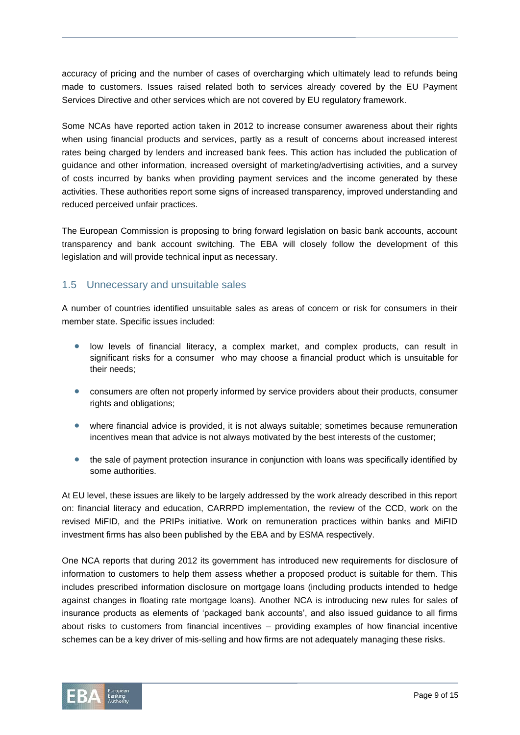accuracy of pricing and the number of cases of overcharging which ultimately lead to refunds being made to customers. Issues raised related both to services already covered by the EU Payment Services Directive and other services which are not covered by EU regulatory framework.

Some NCAs have reported action taken in 2012 to increase consumer awareness about their rights when using financial products and services, partly as a result of concerns about increased interest rates being charged by lenders and increased bank fees. This action has included the publication of guidance and other information, increased oversight of marketing/advertising activities, and a survey of costs incurred by banks when providing payment services and the income generated by these activities. These authorities report some signs of increased transparency, improved understanding and reduced perceived unfair practices.

The European Commission is proposing to bring forward legislation on basic bank accounts, account transparency and bank account switching. The EBA will closely follow the development of this legislation and will provide technical input as necessary.

### 1.5 Unnecessary and unsuitable sales

A number of countries identified unsuitable sales as areas of concern or risk for consumers in their member state. Specific issues included:

- low levels of financial literacy, a complex market, and complex products, can result in significant risks for a consumer who may choose a financial product which is unsuitable for their needs;
- consumers are often not properly informed by service providers about their products, consumer rights and obligations;
- where financial advice is provided, it is not always suitable; sometimes because remuneration incentives mean that advice is not always motivated by the best interests of the customer;
- the sale of payment protection insurance in conjunction with loans was specifically identified by some authorities.

At EU level, these issues are likely to be largely addressed by the work already described in this report on: financial literacy and education, CARRPD implementation, the review of the CCD, work on the revised MiFID, and the PRIPs initiative. Work on remuneration practices within banks and MiFID investment firms has also been published by the EBA and by ESMA respectively.

One NCA reports that during 2012 its government has introduced new requirements for disclosure of information to customers to help them assess whether a proposed product is suitable for them. This includes prescribed information disclosure on mortgage loans (including products intended to hedge against changes in floating rate mortgage loans). Another NCA is introducing new rules for sales of insurance products as elements of 'packaged bank accounts', and also issued guidance to all firms about risks to customers from financial incentives – providing examples of how financial incentive schemes can be a key driver of mis-selling and how firms are not adequately managing these risks.

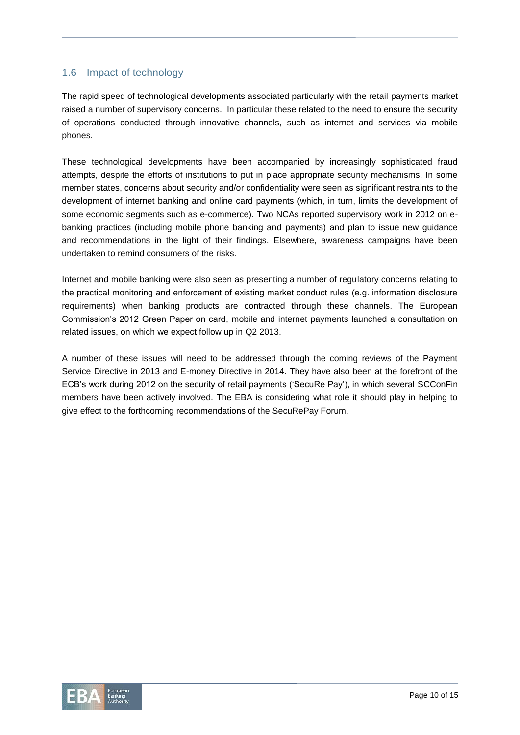### 1.6 Impact of technology

The rapid speed of technological developments associated particularly with the retail payments market raised a number of supervisory concerns. In particular these related to the need to ensure the security of operations conducted through innovative channels, such as internet and services via mobile phones.

These technological developments have been accompanied by increasingly sophisticated fraud attempts, despite the efforts of institutions to put in place appropriate security mechanisms. In some member states, concerns about security and/or confidentiality were seen as significant restraints to the development of internet banking and online card payments (which, in turn, limits the development of some economic segments such as e-commerce). Two NCAs reported supervisory work in 2012 on ebanking practices (including mobile phone banking and payments) and plan to issue new guidance and recommendations in the light of their findings. Elsewhere, awareness campaigns have been undertaken to remind consumers of the risks.

Internet and mobile banking were also seen as presenting a number of regulatory concerns relating to the practical monitoring and enforcement of existing market conduct rules (e.g. information disclosure requirements) when banking products are contracted through these channels. The European Commission's 2012 Green Paper on card, mobile and internet payments launched a consultation on related issues, on which we expect follow up in Q2 2013.

A number of these issues will need to be addressed through the coming reviews of the Payment Service Directive in 2013 and E-money Directive in 2014. They have also been at the forefront of the ECB's work during 2012 on the security of retail payments ('SecuRe Pay'), in which several SCConFin members have been actively involved. The EBA is considering what role it should play in helping to give effect to the forthcoming recommendations of the SecuRePay Forum.

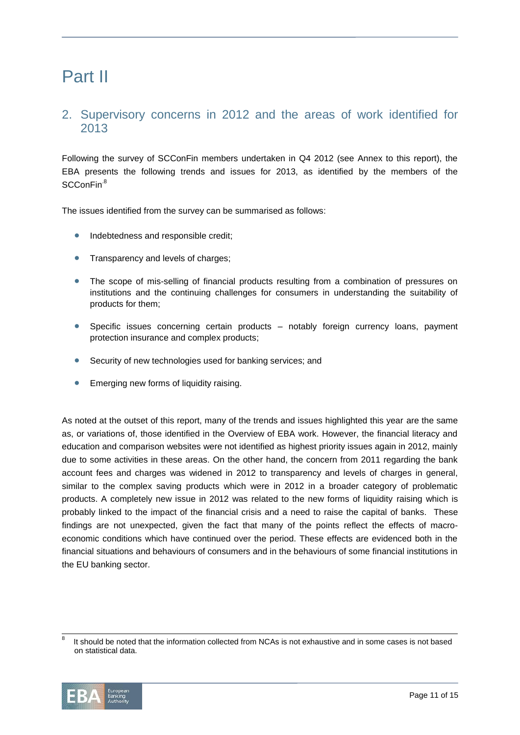## Part II

### 2. Supervisory concerns in 2012 and the areas of work identified for 2013

Following the survey of SCConFin members undertaken in Q4 2012 (see Annex to this report), the EBA presents the following trends and issues for 2013, as identified by the members of the SCConFin.<sup>8</sup>

The issues identified from the survey can be summarised as follows:

- Indebtedness and responsible credit;
- **Transparency and levels of charges;**
- The scope of mis-selling of financial products resulting from a combination of pressures on institutions and the continuing challenges for consumers in understanding the suitability of products for them;
- Specific issues concerning certain products notably foreign currency loans, payment protection insurance and complex products;
- Security of new technologies used for banking services; and
- **•** Emerging new forms of liquidity raising.

As noted at the outset of this report, many of the trends and issues highlighted this year are the same as, or variations of, those identified in the Overview of EBA work. However, the financial literacy and education and comparison websites were not identified as highest priority issues again in 2012, mainly due to some activities in these areas. On the other hand, the concern from 2011 regarding the bank account fees and charges was widened in 2012 to transparency and levels of charges in general, similar to the complex saving products which were in 2012 in a broader category of problematic products. A completely new issue in 2012 was related to the new forms of liquidity raising which is probably linked to the impact of the financial crisis and a need to raise the capital of banks. These findings are not unexpected, given the fact that many of the points reflect the effects of macroeconomic conditions which have continued over the period. These effects are evidenced both in the financial situations and behaviours of consumers and in the behaviours of some financial institutions in the EU banking sector.

<sup>8</sup> It should be noted that the information collected from NCAs is not exhaustive and in some cases is not based on statistical data.



l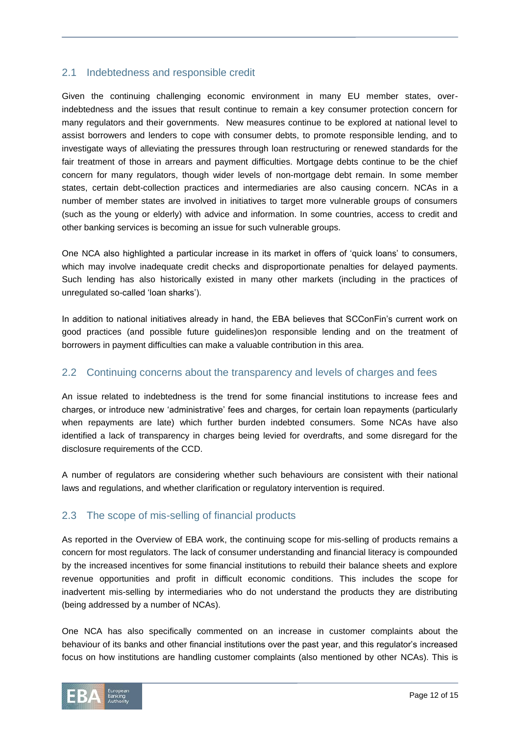### 2.1 Indebtedness and responsible credit

Given the continuing challenging economic environment in many EU member states, overindebtedness and the issues that result continue to remain a key consumer protection concern for many regulators and their governments. New measures continue to be explored at national level to assist borrowers and lenders to cope with consumer debts, to promote responsible lending, and to investigate ways of alleviating the pressures through loan restructuring or renewed standards for the fair treatment of those in arrears and payment difficulties. Mortgage debts continue to be the chief concern for many regulators, though wider levels of non-mortgage debt remain. In some member states, certain debt-collection practices and intermediaries are also causing concern. NCAs in a number of member states are involved in initiatives to target more vulnerable groups of consumers (such as the young or elderly) with advice and information. In some countries, access to credit and other banking services is becoming an issue for such vulnerable groups.

One NCA also highlighted a particular increase in its market in offers of 'quick loans' to consumers, which may involve inadequate credit checks and disproportionate penalties for delayed payments. Such lending has also historically existed in many other markets (including in the practices of unregulated so-called 'loan sharks').

In addition to national initiatives already in hand, the EBA believes that SCConFin's current work on good practices (and possible future guidelines)on responsible lending and on the treatment of borrowers in payment difficulties can make a valuable contribution in this area.

### 2.2 Continuing concerns about the transparency and levels of charges and fees

An issue related to indebtedness is the trend for some financial institutions to increase fees and charges, or introduce new 'administrative' fees and charges, for certain loan repayments (particularly when repayments are late) which further burden indebted consumers. Some NCAs have also identified a lack of transparency in charges being levied for overdrafts, and some disregard for the disclosure requirements of the CCD.

A number of regulators are considering whether such behaviours are consistent with their national laws and regulations, and whether clarification or regulatory intervention is required.

### 2.3 The scope of mis-selling of financial products

As reported in the Overview of EBA work, the continuing scope for mis-selling of products remains a concern for most regulators. The lack of consumer understanding and financial literacy is compounded by the increased incentives for some financial institutions to rebuild their balance sheets and explore revenue opportunities and profit in difficult economic conditions. This includes the scope for inadvertent mis-selling by intermediaries who do not understand the products they are distributing (being addressed by a number of NCAs).

One NCA has also specifically commented on an increase in customer complaints about the behaviour of its banks and other financial institutions over the past year, and this regulator's increased focus on how institutions are handling customer complaints (also mentioned by other NCAs). This is

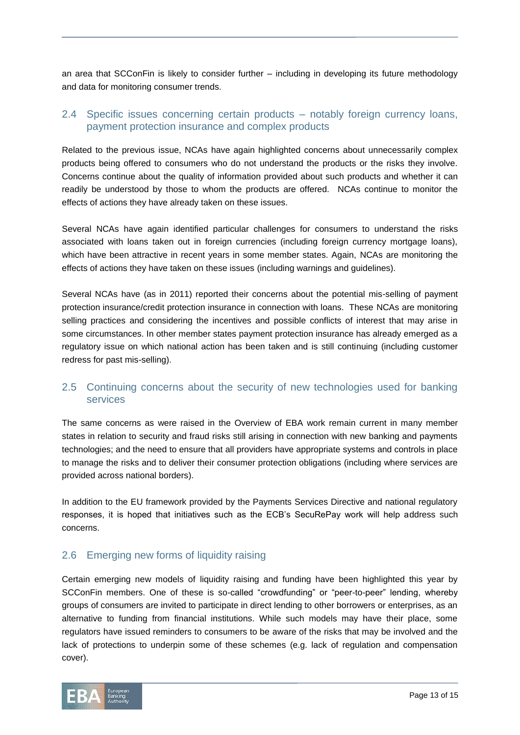an area that SCConFin is likely to consider further – including in developing its future methodology and data for monitoring consumer trends.

### 2.4 Specific issues concerning certain products – notably foreign currency loans, payment protection insurance and complex products

Related to the previous issue, NCAs have again highlighted concerns about unnecessarily complex products being offered to consumers who do not understand the products or the risks they involve. Concerns continue about the quality of information provided about such products and whether it can readily be understood by those to whom the products are offered. NCAs continue to monitor the effects of actions they have already taken on these issues.

Several NCAs have again identified particular challenges for consumers to understand the risks associated with loans taken out in foreign currencies (including foreign currency mortgage loans), which have been attractive in recent years in some member states. Again, NCAs are monitoring the effects of actions they have taken on these issues (including warnings and guidelines).

Several NCAs have (as in 2011) reported their concerns about the potential mis-selling of payment protection insurance/credit protection insurance in connection with loans. These NCAs are monitoring selling practices and considering the incentives and possible conflicts of interest that may arise in some circumstances. In other member states payment protection insurance has already emerged as a regulatory issue on which national action has been taken and is still continuing (including customer redress for past mis-selling).

### 2.5 Continuing concerns about the security of new technologies used for banking services

The same concerns as were raised in the Overview of EBA work remain current in many member states in relation to security and fraud risks still arising in connection with new banking and payments technologies; and the need to ensure that all providers have appropriate systems and controls in place to manage the risks and to deliver their consumer protection obligations (including where services are provided across national borders).

In addition to the EU framework provided by the Payments Services Directive and national regulatory responses, it is hoped that initiatives such as the ECB's SecuRePay work will help address such concerns.

#### 2.6 Emerging new forms of liquidity raising

Certain emerging new models of liquidity raising and funding have been highlighted this year by SCConFin members. One of these is so-called "crowdfunding" or "peer-to-peer" lending, whereby groups of consumers are invited to participate in direct lending to other borrowers or enterprises, as an alternative to funding from financial institutions. While such models may have their place, some regulators have issued reminders to consumers to be aware of the risks that may be involved and the lack of protections to underpin some of these schemes (e.g. lack of regulation and compensation cover).

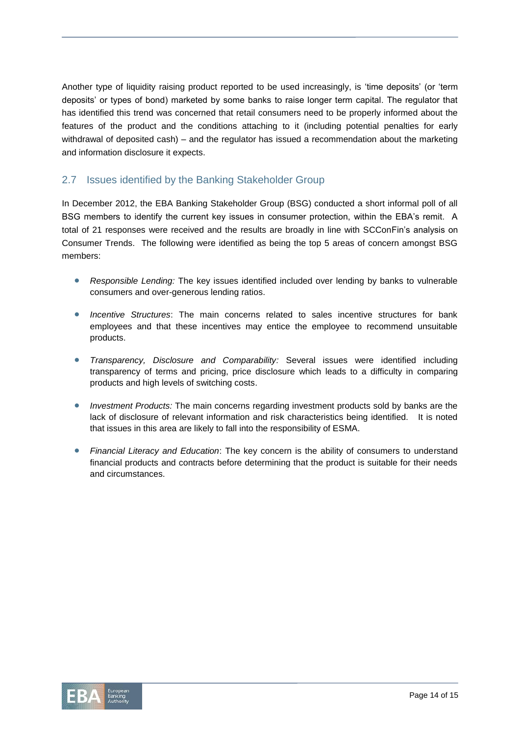Another type of liquidity raising product reported to be used increasingly, is 'time deposits' (or 'term deposits' or types of bond) marketed by some banks to raise longer term capital. The regulator that has identified this trend was concerned that retail consumers need to be properly informed about the features of the product and the conditions attaching to it (including potential penalties for early withdrawal of deposited cash) – and the regulator has issued a recommendation about the marketing and information disclosure it expects.

### 2.7 Issues identified by the Banking Stakeholder Group

In December 2012, the EBA Banking Stakeholder Group (BSG) conducted a short informal poll of all BSG members to identify the current key issues in consumer protection, within the EBA's remit. A total of 21 responses were received and the results are broadly in line with SCConFin's analysis on Consumer Trends. The following were identified as being the top 5 areas of concern amongst BSG members:

- *Responsible Lending:* The key issues identified included over lending by banks to vulnerable consumers and over-generous lending ratios.
- *Incentive Structures*: The main concerns related to sales incentive structures for bank employees and that these incentives may entice the employee to recommend unsuitable products.
- *Transparency, Disclosure and Comparability:* Several issues were identified including transparency of terms and pricing, price disclosure which leads to a difficulty in comparing products and high levels of switching costs.
- *Investment Products:* The main concerns regarding investment products sold by banks are the lack of disclosure of relevant information and risk characteristics being identified. It is noted that issues in this area are likely to fall into the responsibility of ESMA.
- *Financial Literacy and Education*: The key concern is the ability of consumers to understand financial products and contracts before determining that the product is suitable for their needs and circumstances.